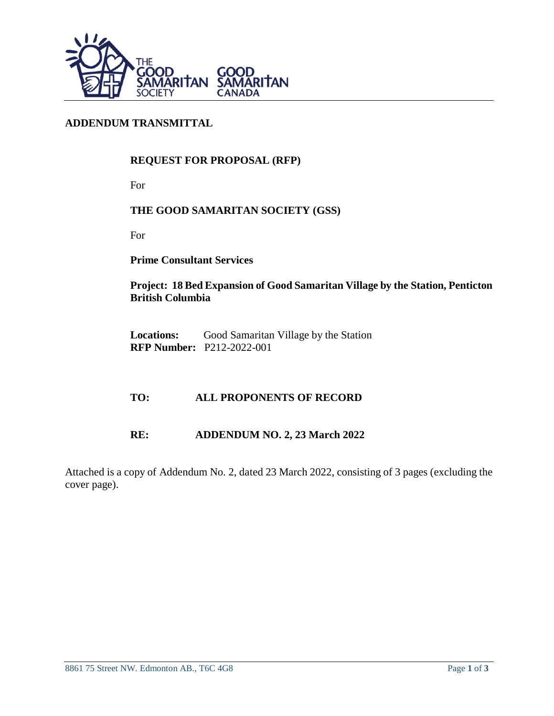

# **ADDENDUM TRANSMITTAL**

# **REQUEST FOR PROPOSAL (RFP)**

For

### **THE GOOD SAMARITAN SOCIETY (GSS)**

For

**Prime Consultant Services**

**Project: 18 Bed Expansion of Good Samaritan Village by the Station, Penticton British Columbia**

Locations: Good Samaritan Village by the Station **RFP Number:** P212-2022-001

#### **TO: ALL PROPONENTS OF RECORD**

### **RE: ADDENDUM NO. 2, 23 March 2022**

Attached is a copy of Addendum No. 2, dated 23 March 2022, consisting of 3 pages (excluding the cover page).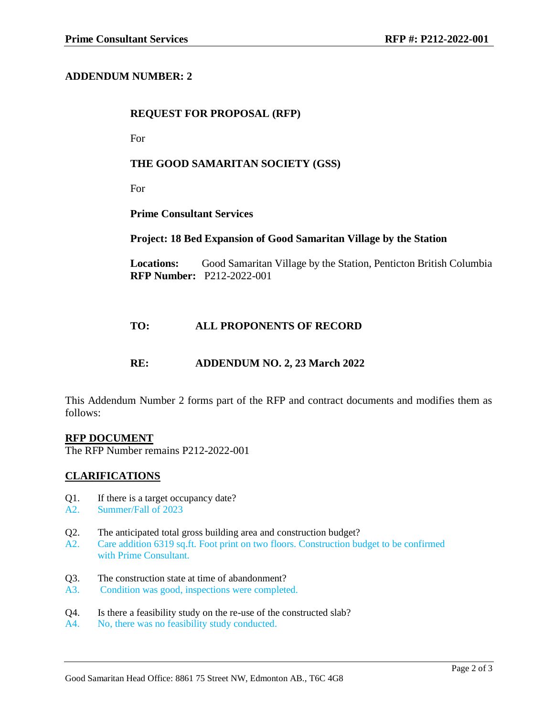### **ADDENDUM NUMBER: 2**

#### **REQUEST FOR PROPOSAL (RFP)**

For

#### **THE GOOD SAMARITAN SOCIETY (GSS)**

For

**Prime Consultant Services**

#### **Project: 18 Bed Expansion of Good Samaritan Village by the Station**

Locations: Good Samaritan Village by the Station, Penticton British Columbia **RFP Number:** P212-2022-001

### **TO: ALL PROPONENTS OF RECORD**

#### **RE: ADDENDUM NO. 2, 23 March 2022**

This Addendum Number 2 forms part of the RFP and contract documents and modifies them as follows:

#### **RFP DOCUMENT**

The RFP Number remains P212-2022-001

#### **CLARIFICATIONS**

- Q1. If there is a target occupancy date?
- A2. Summer/Fall of 2023
- Q2. The anticipated total gross building area and construction budget?
- A2. Care addition 6319 sq.ft. Foot print on two floors. Construction budget to be confirmed with Prime Consultant.
- Q3. The construction state at time of abandonment?
- A3. Condition was good, inspections were completed.
- Q4. Is there a feasibility study on the re-use of the constructed slab?
- A4. No, there was no feasibility study conducted.